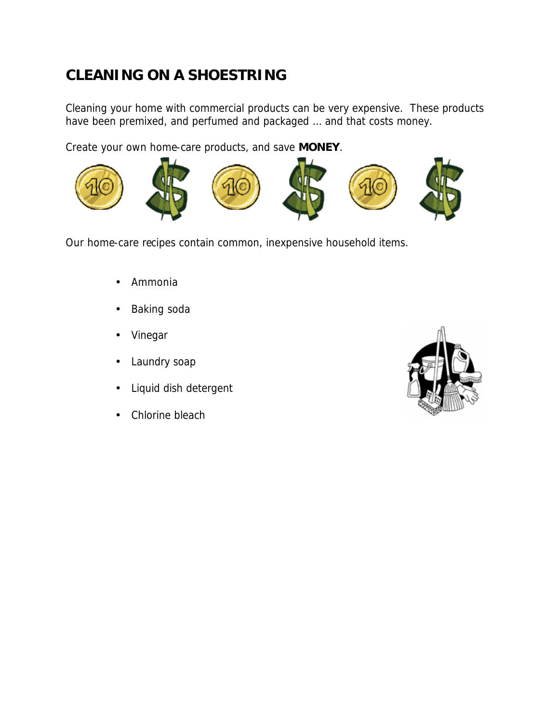# **CLEANING ON A SHOESTRING**

Cleaning your home with commercial products can be very expensive. These products have been premixed, and perfumed and packaged … and that costs money.

Create your own home-care products, and save **MONEY**.



Our home-care recipes contain common, inexpensive household items.

- Ammonia
- Baking soda
- Vinegar
- Laundry soap
- Liquid dish detergent
- Chlorine bleach

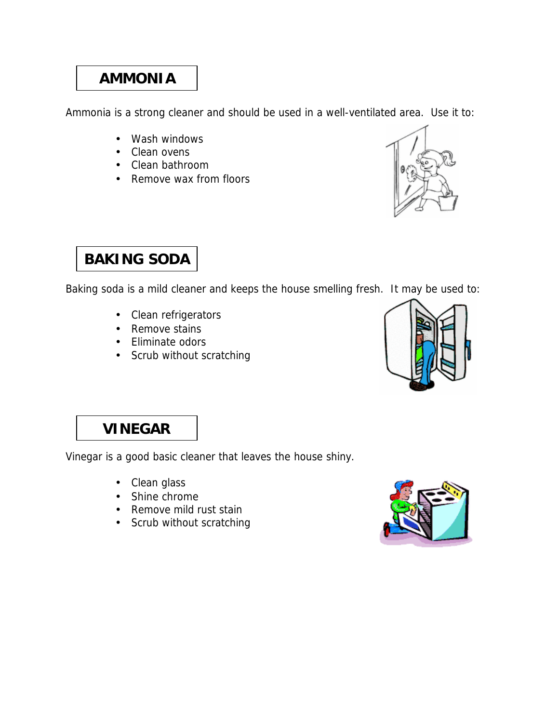# **AMMONIA**

Ammonia is a strong cleaner and should be used in a well-ventilated area. Use it to:

- Wash windows
- Clean ovens
- Clean bathroom
- Remove wax from floors



# **BAKING SODA**

Baking soda is a mild cleaner and keeps the house smelling fresh. It may be used to:

- Clean refrigerators
- Remove stains
- Eliminate odors
- Scrub without scratching



# **VINEGAR**

Vinegar is a good basic cleaner that leaves the house shiny.

- Clean glass
- Shine chrome
- Remove mild rust stain
- Scrub without scratching

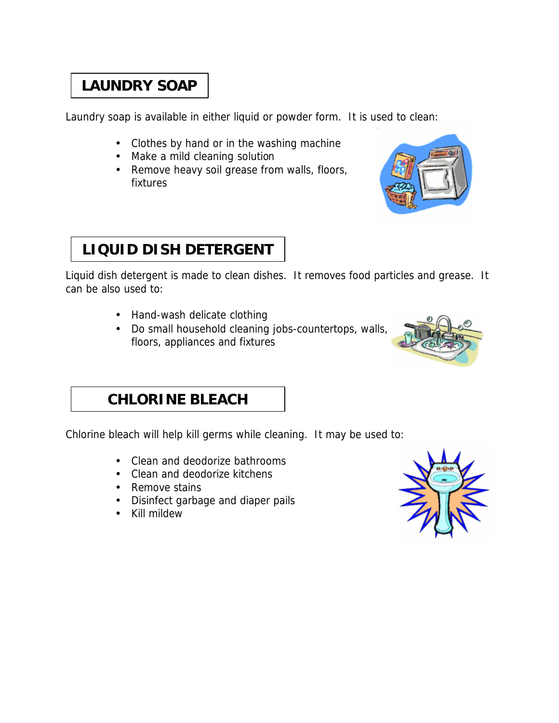# **LAUNDRY SOAP**

Laundry soap is available in either liquid or powder form. It is used to clean:

- Clothes by hand or in the washing machine
- Make a mild cleaning solution
- Remove heavy soil grease from walls, floors, fixtures



# **LIQUID DISH DETERGENT**

Liquid dish detergent is made to clean dishes. It removes food particles and grease. It can be also used to:

- Hand-wash delicate clothing
- Do small household cleaning jobs-countertops, walls, floors, appliances and fixtures



#### **CHLORINE BLEACH**

Chlorine bleach will help kill germs while cleaning. It may be used to:

- Clean and deodorize bathrooms
- Clean and deodorize kitchens
- Remove stains
- Disinfect garbage and diaper pails
- Kill mildew

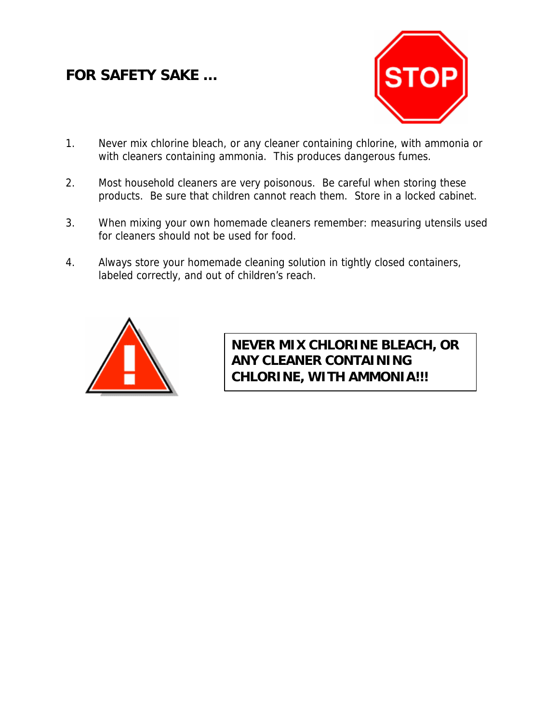### **FOR SAFETY SAKE …**



- 1. Never mix chlorine bleach, or any cleaner containing chlorine, with ammonia or with cleaners containing ammonia. This produces dangerous fumes.
- 2. Most household cleaners are very poisonous. Be careful when storing these products. Be sure that children cannot reach them. Store in a locked cabinet.
- 3. When mixing your own homemade cleaners remember: measuring utensils used for cleaners should not be used for food.
- 4. Always store your homemade cleaning solution in tightly closed containers, labeled correctly, and out of children's reach.



**NEVER MIX CHLORINE BLEACH, OR ANY CLEANER CONTAINING CHLORINE, WITH AMMONIA!!!**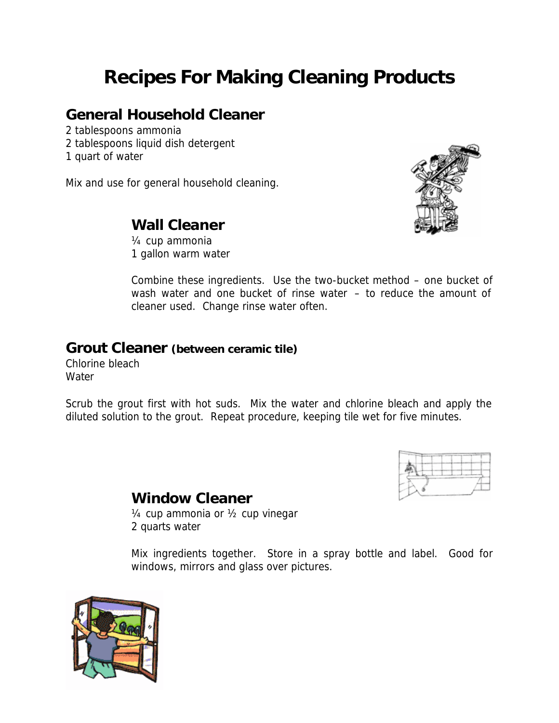# **Recipes For Making Cleaning Products**

#### **General Household Cleaner**

- 2 tablespoons ammonia
- 2 tablespoons liquid dish detergent
- 1 quart of water

Mix and use for general household cleaning.



#### **Wall Cleaner**

¼ cup ammonia 1 gallon warm water

Combine these ingredients. Use the two-bucket method – one bucket of wash water and one bucket of rinse water – to reduce the amount of cleaner used. Change rinse water often.

#### **Grout Cleaner** *(between ceramic tile)*

Chlorine bleach **Water** 

Scrub the grout first with hot suds. Mix the water and chlorine bleach and apply the diluted solution to the grout. Repeat procedure, keeping tile wet for five minutes.



# **Window Cleaner**

¼ cup ammonia or ½ cup vinegar 2 quarts water

Mix ingredients together. Store in a spray bottle and label. Good for windows, mirrors and glass over pictures.

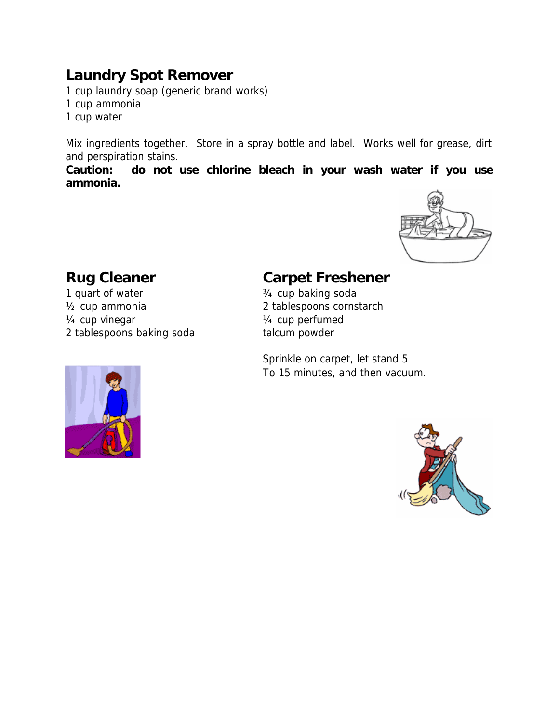### **Laundry Spot Remover**

1 cup laundry soap (generic brand works)

- 1 cup ammonia
- 1 cup water

Mix ingredients together. Store in a spray bottle and label. Works well for grease, dirt and perspiration stains.

**Caution: do not use chlorine bleach in your wash water if you use ammonia.**



1 quart of water  $\frac{3}{4}$  cup baking soda ½ cup ammonia 2 tablespoons cornstarch  $\frac{1}{4}$  cup vinegar  $\frac{1}{4}$  cup perfumed 2 tablespoons baking soda talcum powder



#### **Rug Cleaner Carpet Freshener**

Sprinkle on carpet, let stand 5 To 15 minutes, and then vacuum.

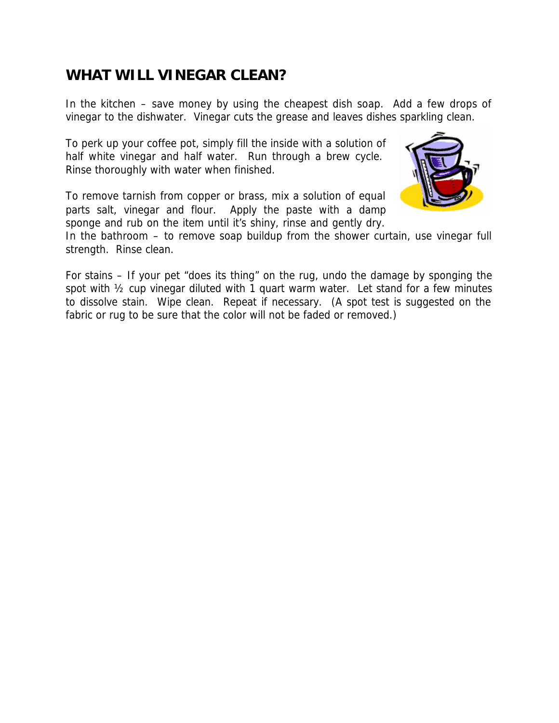#### **WHAT WILL VINEGAR CLEAN?**

In the kitchen – save money by using the cheapest dish soap. Add a few drops of vinegar to the dishwater. Vinegar cuts the grease and leaves dishes sparkling clean.

To perk up your coffee pot, simply fill the inside with a solution of half white vinegar and half water. Run through a brew cycle. Rinse thoroughly with water when finished.

To remove tarnish from copper or brass, mix a solution of equal parts salt, vinegar and flour. Apply the paste with a damp sponge and rub on the item until it's shiny, rinse and gently dry.



In the bathroom – to remove soap buildup from the shower curtain, use vinegar full strength. Rinse clean.

For stains – If your pet "does its thing" on the rug, undo the damage by sponging the spot with  $\frac{1}{2}$  cup vinegar diluted with 1 quart warm water. Let stand for a few minutes to dissolve stain. Wipe clean. Repeat if necessary. (A spot test is suggested on the fabric or rug to be sure that the color will not be faded or removed.)